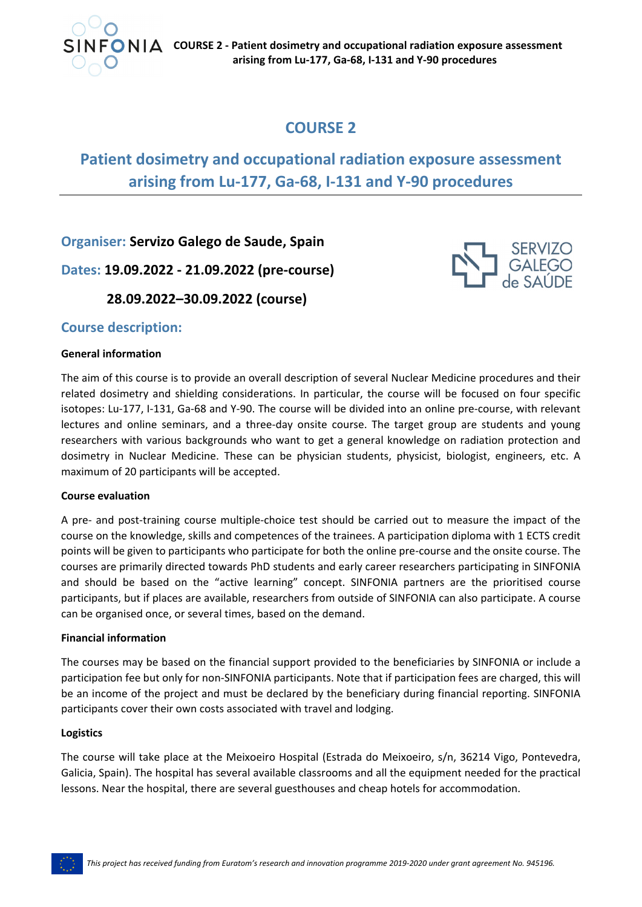

 $F \bigcirc \mathbf{N} \big| \mathbf{A}$  COURSE 2 - Patient dosimetry and occupational radiation exposure assessment arising from Lu-177, Ga-68, I-131 and Y-90 procedures

# **COURSE 2**

# **Patient dosimetry and occupational radiation exposure assessment arising from Lu‐177, Ga‐68, I‐131 and Y‐90 procedures**

**Organiser: Servizo Galego de Saude, Spain**

**Dates: 19.09.2022 ‐ 21.09.2022 (pre‐course)**

 **28.09.2022–30.09.2022 (course)**

# **Course description:**

# **General information**

The aim of this course is to provide an overall description of several Nuclear Medicine procedures and their related dosimetry and shielding considerations. In particular, the course will be focused on four specific isotopes: Lu‐177, I‐131, Ga‐68 and Y‐90. The course will be divided into an online pre‐course, with relevant lectures and online seminars, and a three-day onsite course. The target group are students and young researchers with various backgrounds who want to get a general knowledge on radiation protection and dosimetry in Nuclear Medicine. These can be physician students, physicist, biologist, engineers, etc. A maximum of 20 participants will be accepted.

# **Course evaluation**

A pre- and post-training course multiple-choice test should be carried out to measure the impact of the course on the knowledge, skills and competences of the trainees. A participation diploma with 1 ECTS credit points will be given to participants who participate for both the online pre‐course and the onsite course. The courses are primarily directed towards PhD students and early career researchers participating in SINFONIA and should be based on the "active learning" concept. SINFONIA partners are the prioritised course participants, but if places are available, researchers from outside of SINFONIA can also participate. A course can be organised once, or several times, based on the demand.

# **Financial information**

The courses may be based on the financial support provided to the beneficiaries by SINFONIA or include a participation fee but only for non‐SINFONIA participants. Note that if participation fees are charged, this will be an income of the project and must be declared by the beneficiary during financial reporting. SINFONIA participants cover their own costs associated with travel and lodging.

# **Logistics**

The course will take place at the Meixoeiro Hospital (Estrada do Meixoeiro, s/n, 36214 Vigo, Pontevedra, Galicia, Spain). The hospital has several available classrooms and all the equipment needed for the practical lessons. Near the hospital, there are several guesthouses and cheap hotels for accommodation.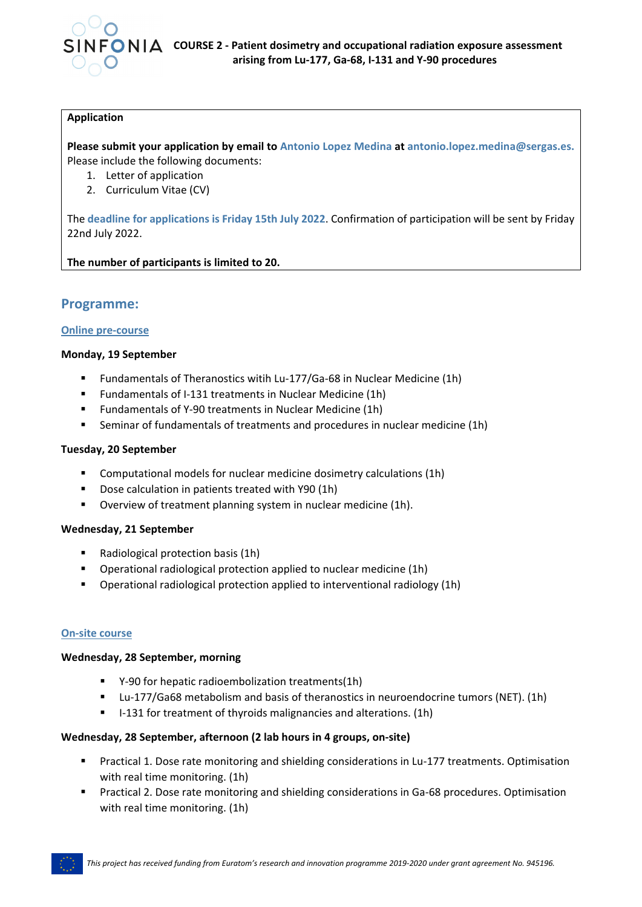

# **Application**

**Please submit your application by email to Antonio Lopez Medina at antonio.lopez.medina@sergas.es.** Please include the following documents:

- 1. Letter of application
- 2. Curriculum Vitae (CV)

The **deadline for applications is Friday 15th July 2022**. Confirmation of participation will be sent by Friday 22nd July 2022.

**The number of participants is limited to 20.**

# **Programme:**

# **Online pre‐course**

#### **Monday, 19 September**

- Fundamentals of Theranostics witih Lu‐177/Ga‐68 in Nuclear Medicine (1h)
- Fundamentals of I-131 treatments in Nuclear Medicine (1h)
- Fundamentals of Y-90 treatments in Nuclear Medicine (1h)
- Seminar of fundamentals of treatments and procedures in nuclear medicine (1h)

#### **Tuesday, 20 September**

- Computational models for nuclear medicine dosimetry calculations (1h)
- Dose calculation in patients treated with Y90 (1h)
- Overview of treatment planning system in nuclear medicine (1h).

# **Wednesday, 21 September**

- Radiological protection basis (1h)
- Operational radiological protection applied to nuclear medicine (1h)
- Operational radiological protection applied to interventional radiology (1h)

# **On‐site course**

# **Wednesday, 28 September, morning**

- Y-90 for hepatic radioembolization treatments(1h)
- Lu-177/Ga68 metabolism and basis of theranostics in neuroendocrine tumors (NET). (1h)
- I-131 for treatment of thyroids malignancies and alterations. (1h)

# **Wednesday, 28 September, afternoon (2 lab hours in 4 groups, on‐site)**

- Practical 1. Dose rate monitoring and shielding considerations in Lu‐177 treatments. Optimisation with real time monitoring. (1h)
- Practical 2. Dose rate monitoring and shielding considerations in Ga-68 procedures. Optimisation with real time monitoring. (1h)